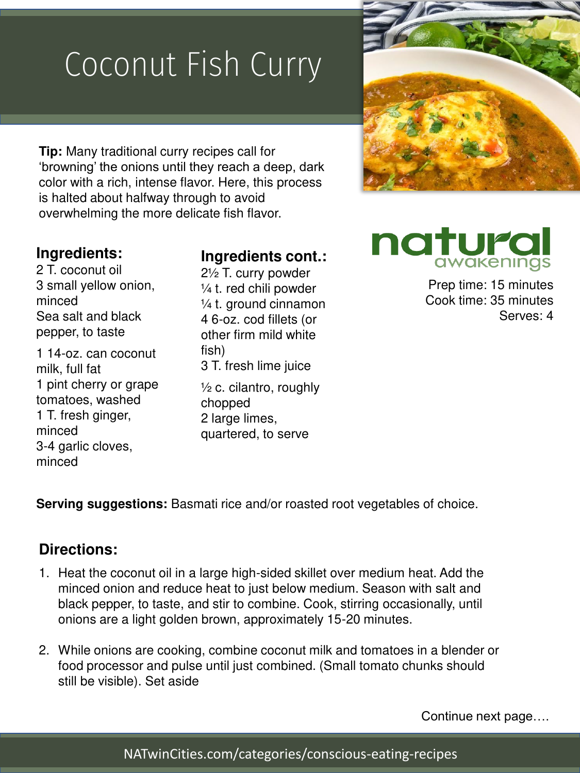## Coconut Fish Curry

**Tip:** Many traditional curry recipes call for 'browning' the onions until they reach a deep, dark color with a rich, intense flavor. Here, this process is halted about halfway through to avoid overwhelming the more delicate fish flavor.

## **Ingredients:**

2 T. coconut oil 3 small yellow onion, minced Sea salt and black pepper, to taste

1 14-oz. can coconut milk, full fat 1 pint cherry or grape tomatoes, washed 1 T. fresh ginger, minced 3-4 garlic cloves, minced

## **Ingredients cont.:**

2½ T. curry powder ¼ t. red chili powder ¼ t. ground cinnamon 4 6-oz. cod fillets (or other firm mild white fish) 3 T. fresh lime juice

 $\frac{1}{2}$  c. cilantro, roughly chopped 2 large limes, quartered, to serve



## natura awakenings

Prep time: 15 minutes Cook time: 35 minutes Serves: 4

**Serving suggestions:** Basmati rice and/or roasted root vegetables of choice.

#### **Directions:**

- 1. Heat the coconut oil in a large high-sided skillet over medium heat. Add the minced onion and reduce heat to just below medium. Season with salt and black pepper, to taste, and stir to combine. Cook, stirring occasionally, until onions are a light golden brown, approximately 15-20 minutes.
- 2. While onions are cooking, combine coconut milk and tomatoes in a blender or food processor and pulse until just combined. (Small tomato chunks should still be visible). Set aside

Continue next page….